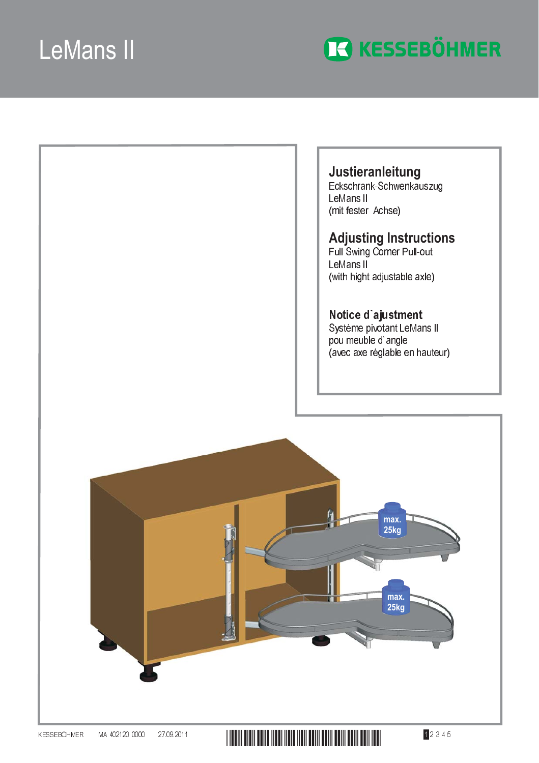

Justieranleitung<br>Eckschrank-Schwenkauszug LeMans II (mit fester Achse)

# **Adjusting Instructions**<br>Full Swing Corner Pull-out

LeMans II (with hight adjustable axle)

Notice d'ajustment<br>Système pivotant LeMans II pou meuble d'angle (avec axe réglable en hauteur)

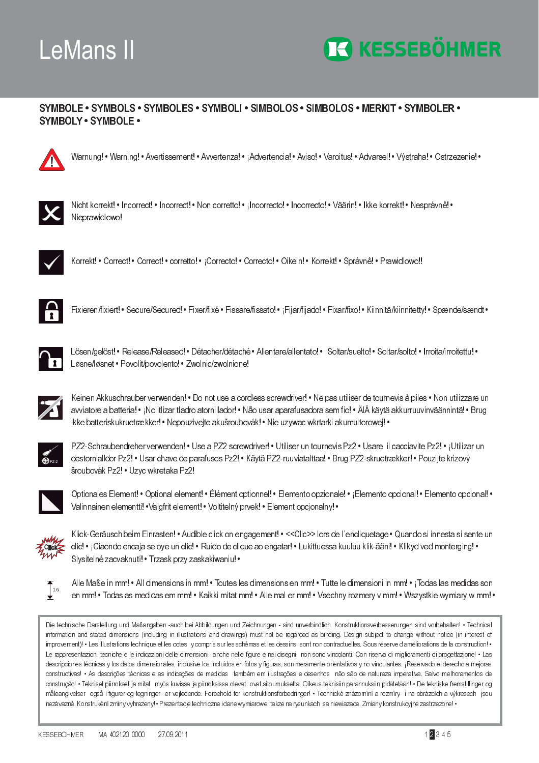

### SYMBOLE · SYMBOLS · SYMBOLES · SYMBOLI · SIMBOLOS · SIMBOLOS · MERKIT · SYMBOLER · **SYMBOLY · SYMBOLE ·**



Warnung! • Warning! • Avertissement! • Avvertenza! • ¡Advertencia! • Aviso! • Varoitus! • Advarsel! • Výstraha! • Ostrzezenie! •



Nicht korrekt! • Incorrect! • Incorrect! • Non corretto! • Incorrecto! • Incorrecto! • Väärin! • Ikke korrekt! • Nesprávnê! • Nieprawidlowo!



Korrekt! • Correct! • Correct! • corretto! • ¡Correcto! • Correcto! • Oikein! • Korrekt! • Správnê! • Prawidlowo!!



Fixieren/fixiert! • Secure/Secured! • Fixer/fixé • Fissare/fissato! • ¡Fijar/fijado! • Fixar/fixo! • Kiinnitä/kiinnitetty! • Spænde/sændt •



Lösen/gelöst! • Release/Released! • Détacher/détaché • Allentare/allentato! • ¡Soltar/suelto! • Soltar/solto! • Irroita/irroitettu! • Løsne/løsnet • Povolit/povolento! • Zwolnic/zwolnione!



Keinen Akkuschrauber verwenden! • Do not use a cordless screwdriver! • Ne pas utiliser de tournevis à piles • Non utilizzare un avviatore a batteria! • ¡No itlizar tladro atornillador! • Não usar aparafusadora sem fio! • ÄlÄ käytä akkurruuvinväännintä! • Brug ikke batteriskukruetrækker! • Nepouziveite akušroubovák! • Nie uzvwac wkrtarki akumultorowei! •



PZ2-Schraubendreher verwenden! • Use a PZ2 screwdriver! • Utiliser un tournevis Pz2 • Usare il cacciavite Pz2! • ¡Utilizar un destornialldor Pz2! • Usar chave de parafusos Pz2! • Käytä PZ2-ruuviatalttaa! • Brug PZ2-skruetrækker! • Pouzijte krizový šroubovák Pz2! · Uzyc wkretaka Pz2!



Optionales Element! • Optional element! • Élément optionnel! • Elemento opzionale! • ¡Elemento opcional! • Elemento opcional! • Valinnainen elementti! • Valgfrit element! • Voltitelný prvek! • Element opcjonalny! •



Klick-Geräusch beim Einrasten! • Audible click on engagement! • << Clic>> lors de l'encliquetage • Quando si innesta si sente un clic! • ¡Ciaondo encaja se oye un clic! • Ruído de clique ao engatar! • Lukittuessa kuuluu klik-ääni! • Klikyd ved monterging! • Slysitelné zacvaknutí! · Trzask przy zaskakiwaniu! ·



Alle Maße in mm! • All dimensions in mm! • Toutes les dimensions en mm! • Tutte le dimensioni in mm! • ¡Todas las medidas son en mm! • Todas as medidas em mm! • Kaikki mitat mm! • Alle mal er mm! • Vsechny rozmery v mm! • Wszystkie wymiary w mm! •

Die technische Darstellung und Maßangaben -auch bei Abbildungen und Zeichnungen - sind unverbindlich. Konstruktionsverbesserungen sind vorbehalten! • Technical information and stated dimensions (including in illustrations and drawings) must not be regarded as binding. Design subject to change without notice (in interest of improvement)! • Les illustrations technique et les cotes y compris sur les schémas et les dessins sont non contractuelles. Sous réserve d'améliorations de la construction! • Le rappresentazioni tecniche e le indicazioni delle dimensioni anche nelle figure e nei disegni non sono vincolanti. Con riserva di miglioramenti di progettazione! . Las descripciones técnicas y los datos dimensionales, inclusive los incluidos en fotos y figuras, son meramente orientativos y no vinculantes. ¡Reservado el derecho a mejoras constructivas! • As descrições técnicas e as indicações de medidas também em ilustrações e desenhos não são de natureza imperativa. Salvo melhoramentos de construção! • Tekniset pirrokset ja mitat myös kuvissa ja pirroksissa olevat ovat sitoumuksetta. Oikeus teknisiin parannuksiin pidätetään! • De tekniske fremstillinger og måleangivelser også i figurer og tegninger er vejledende. Forbehold for konstruktionsforbedringer! • Technické znázorniní a rozmiry i na obrázcích a výkresech jsou nezávazné. Konstrukèní zmìny vyhrazeny! • Prezentacje techniczne i dane wymiarowe takze na rysunkach sa niewiazace. Zmiany konstrukcyjne zastrzezone! •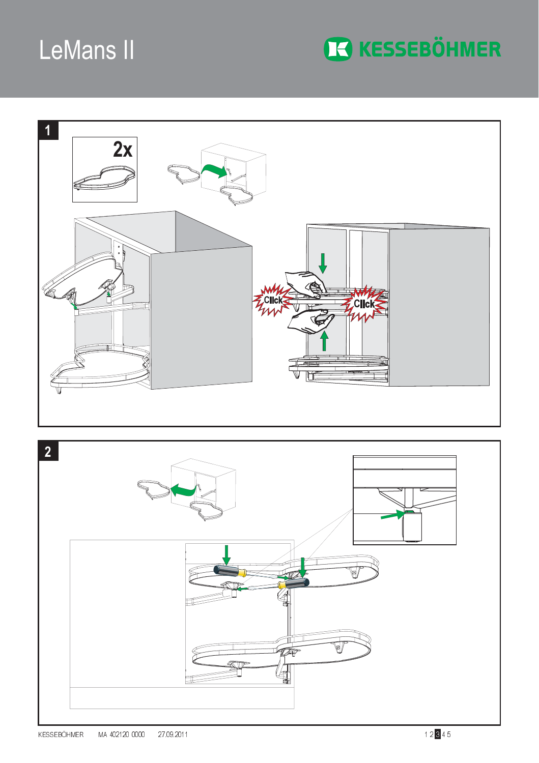

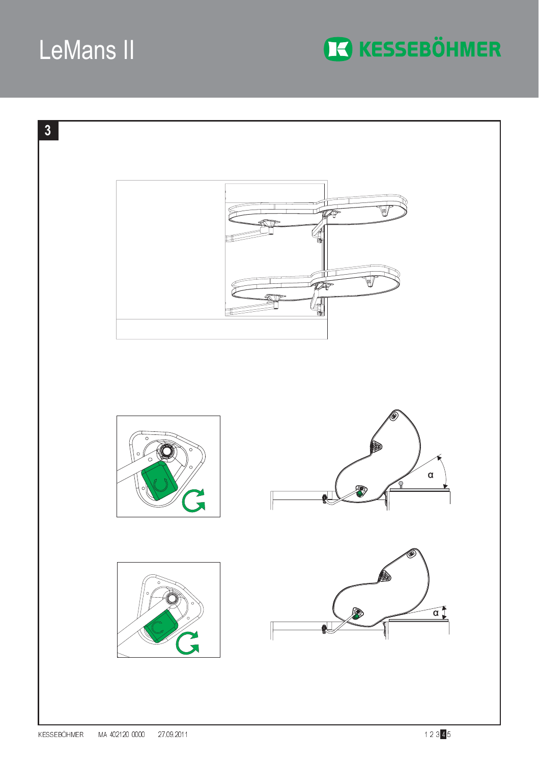

**IC KESSEBÖHMER**